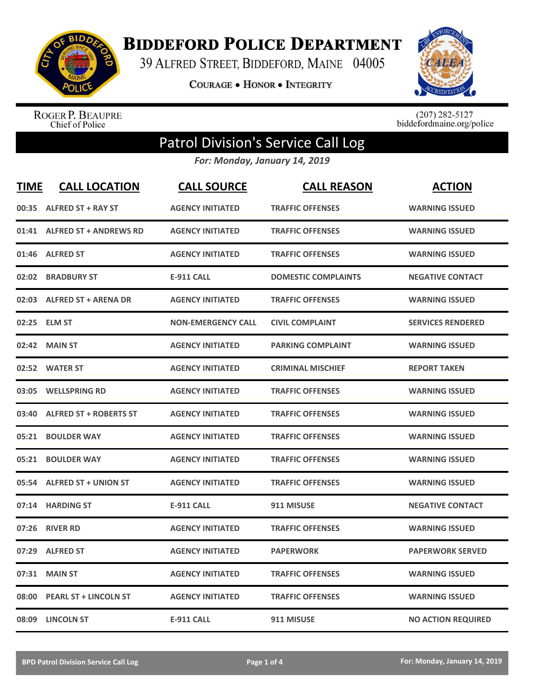

**BIDDEFORD POLICE DEPARTMENT** 

39 ALFRED STREET, BIDDEFORD, MAINE 04005

**COURAGE . HONOR . INTEGRITY** 



ROGER P. BEAUPRE<br>Chief of Police

 $(207)$  282-5127<br>biddefordmaine.org/police

## Patrol Division's Service Call Log

*For: Monday, January 14, 2019*

| <b>TIME</b> | <b>CALL LOCATION</b>          | <b>CALL SOURCE</b>        | <b>CALL REASON</b>         | <b>ACTION</b>             |
|-------------|-------------------------------|---------------------------|----------------------------|---------------------------|
|             | 00:35 ALFRED ST + RAY ST      | <b>AGENCY INITIATED</b>   | <b>TRAFFIC OFFENSES</b>    | <b>WARNING ISSUED</b>     |
| 01:41       | <b>ALFRED ST + ANDREWS RD</b> | <b>AGENCY INITIATED</b>   | <b>TRAFFIC OFFENSES</b>    | <b>WARNING ISSUED</b>     |
| 01:46       | <b>ALFRED ST</b>              | <b>AGENCY INITIATED</b>   | <b>TRAFFIC OFFENSES</b>    | <b>WARNING ISSUED</b>     |
| 02:02       | <b>BRADBURY ST</b>            | <b>E-911 CALL</b>         | <b>DOMESTIC COMPLAINTS</b> | <b>NEGATIVE CONTACT</b>   |
| 02:03       | <b>ALFRED ST + ARENA DR</b>   | <b>AGENCY INITIATED</b>   | <b>TRAFFIC OFFENSES</b>    | <b>WARNING ISSUED</b>     |
|             | 02:25 ELM ST                  | <b>NON-EMERGENCY CALL</b> | <b>CIVIL COMPLAINT</b>     | <b>SERVICES RENDERED</b>  |
| 02:42       | <b>MAIN ST</b>                | <b>AGENCY INITIATED</b>   | <b>PARKING COMPLAINT</b>   | <b>WARNING ISSUED</b>     |
|             | 02:52 WATER ST                | <b>AGENCY INITIATED</b>   | <b>CRIMINAL MISCHIEF</b>   | <b>REPORT TAKEN</b>       |
| 03:05       | <b>WELLSPRING RD</b>          | <b>AGENCY INITIATED</b>   | <b>TRAFFIC OFFENSES</b>    | <b>WARNING ISSUED</b>     |
| 03:40       | <b>ALFRED ST + ROBERTS ST</b> | <b>AGENCY INITIATED</b>   | <b>TRAFFIC OFFENSES</b>    | <b>WARNING ISSUED</b>     |
| 05:21       | <b>BOULDER WAY</b>            | <b>AGENCY INITIATED</b>   | <b>TRAFFIC OFFENSES</b>    | <b>WARNING ISSUED</b>     |
| 05:21       | <b>BOULDER WAY</b>            | <b>AGENCY INITIATED</b>   | <b>TRAFFIC OFFENSES</b>    | <b>WARNING ISSUED</b>     |
| 05:54       | <b>ALFRED ST + UNION ST</b>   | <b>AGENCY INITIATED</b>   | <b>TRAFFIC OFFENSES</b>    | <b>WARNING ISSUED</b>     |
| 07:14       | <b>HARDING ST</b>             | <b>E-911 CALL</b>         | 911 MISUSE                 | <b>NEGATIVE CONTACT</b>   |
| 07:26       | <b>RIVER RD</b>               | <b>AGENCY INITIATED</b>   | <b>TRAFFIC OFFENSES</b>    | <b>WARNING ISSUED</b>     |
| 07:29       | <b>ALFRED ST</b>              | <b>AGENCY INITIATED</b>   | <b>PAPERWORK</b>           | <b>PAPERWORK SERVED</b>   |
| 07:31       | <b>MAIN ST</b>                | <b>AGENCY INITIATED</b>   | <b>TRAFFIC OFFENSES</b>    | <b>WARNING ISSUED</b>     |
| 08:00       | <b>PEARL ST + LINCOLN ST</b>  | <b>AGENCY INITIATED</b>   | <b>TRAFFIC OFFENSES</b>    | <b>WARNING ISSUED</b>     |
| 08:09       | <b>LINCOLN ST</b>             | <b>E-911 CALL</b>         | 911 MISUSE                 | <b>NO ACTION REQUIRED</b> |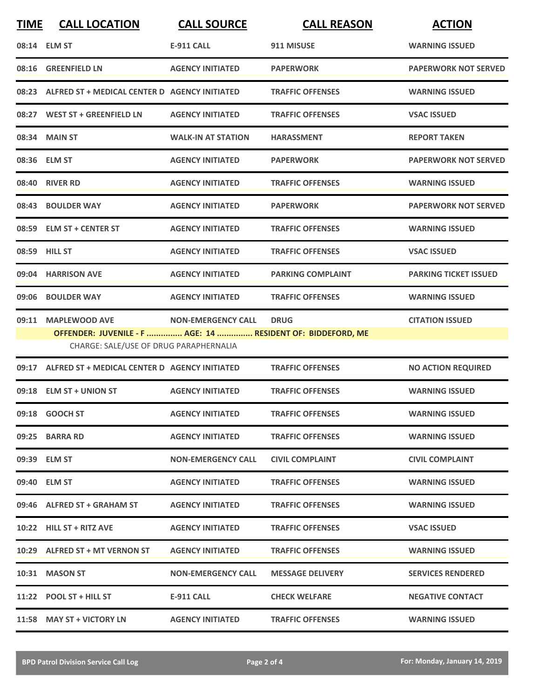| <b>TIME</b> | <b>CALL LOCATION</b>                                                                                                         | <b>CALL SOURCE</b>        | <b>CALL REASON</b>       | <b>ACTION</b>                |
|-------------|------------------------------------------------------------------------------------------------------------------------------|---------------------------|--------------------------|------------------------------|
|             | 08:14 ELM ST                                                                                                                 | <b>E-911 CALL</b>         | 911 MISUSE               | <b>WARNING ISSUED</b>        |
|             | 08:16 GREENFIELD LN                                                                                                          | <b>AGENCY INITIATED</b>   | <b>PAPERWORK</b>         | <b>PAPERWORK NOT SERVED</b>  |
|             | 08:23 ALFRED ST + MEDICAL CENTER D AGENCY INITIATED                                                                          |                           | <b>TRAFFIC OFFENSES</b>  | <b>WARNING ISSUED</b>        |
|             | 08:27 WEST ST + GREENFIELD LN                                                                                                | <b>AGENCY INITIATED</b>   | <b>TRAFFIC OFFENSES</b>  | <b>VSAC ISSUED</b>           |
|             | 08:34 MAIN ST                                                                                                                | <b>WALK-IN AT STATION</b> | <b>HARASSMENT</b>        | <b>REPORT TAKEN</b>          |
|             | 08:36 ELM ST                                                                                                                 | <b>AGENCY INITIATED</b>   | <b>PAPERWORK</b>         | <b>PAPERWORK NOT SERVED</b>  |
|             | 08:40 RIVER RD                                                                                                               | <b>AGENCY INITIATED</b>   | <b>TRAFFIC OFFENSES</b>  | <b>WARNING ISSUED</b>        |
|             | 08:43 BOULDER WAY                                                                                                            | <b>AGENCY INITIATED</b>   | <b>PAPERWORK</b>         | <b>PAPERWORK NOT SERVED</b>  |
|             | 08:59 ELM ST + CENTER ST                                                                                                     | <b>AGENCY INITIATED</b>   | <b>TRAFFIC OFFENSES</b>  | <b>WARNING ISSUED</b>        |
|             | 08:59 HILL ST                                                                                                                | <b>AGENCY INITIATED</b>   | <b>TRAFFIC OFFENSES</b>  | <b>VSAC ISSUED</b>           |
|             | 09:04 HARRISON AVE                                                                                                           | <b>AGENCY INITIATED</b>   | <b>PARKING COMPLAINT</b> | <b>PARKING TICKET ISSUED</b> |
|             | 09:06 BOULDER WAY                                                                                                            | <b>AGENCY INITIATED</b>   | <b>TRAFFIC OFFENSES</b>  | <b>WARNING ISSUED</b>        |
|             | 09:11 MAPLEWOOD AVE<br>OFFENDER: JUVENILE - F  AGE: 14  RESIDENT OF: BIDDEFORD, ME<br>CHARGE: SALE/USE OF DRUG PARAPHERNALIA | <b>NON-EMERGENCY CALL</b> | <b>DRUG</b>              | <b>CITATION ISSUED</b>       |
|             | 09:17 ALFRED ST + MEDICAL CENTER D AGENCY INITIATED                                                                          |                           | <b>TRAFFIC OFFENSES</b>  | <b>NO ACTION REQUIRED</b>    |
|             | 09:18 ELM ST + UNION ST                                                                                                      | <b>AGENCY INITIATED</b>   | <b>TRAFFIC OFFENSES</b>  | <b>WARNING ISSUED</b>        |
|             | 09:18 GOOCH ST                                                                                                               | <b>AGENCY INITIATED</b>   | <b>TRAFFIC OFFENSES</b>  | <b>WARNING ISSUED</b>        |
|             | 09:25 BARRA RD                                                                                                               | <b>AGENCY INITIATED</b>   | <b>TRAFFIC OFFENSES</b>  | <b>WARNING ISSUED</b>        |
|             | 09:39 ELM ST                                                                                                                 | <b>NON-EMERGENCY CALL</b> | <b>CIVIL COMPLAINT</b>   | <b>CIVIL COMPLAINT</b>       |
|             | 09:40 ELM ST                                                                                                                 | <b>AGENCY INITIATED</b>   | <b>TRAFFIC OFFENSES</b>  | <b>WARNING ISSUED</b>        |
|             | 09:46 ALFRED ST + GRAHAM ST                                                                                                  | <b>AGENCY INITIATED</b>   | <b>TRAFFIC OFFENSES</b>  | <b>WARNING ISSUED</b>        |
|             | 10:22 HILL ST + RITZ AVE                                                                                                     | <b>AGENCY INITIATED</b>   | <b>TRAFFIC OFFENSES</b>  | <b>VSAC ISSUED</b>           |
|             | 10:29 ALFRED ST + MT VERNON ST                                                                                               | <b>AGENCY INITIATED</b>   | <b>TRAFFIC OFFENSES</b>  | <b>WARNING ISSUED</b>        |
|             | 10:31 MASON ST                                                                                                               | <b>NON-EMERGENCY CALL</b> | <b>MESSAGE DELIVERY</b>  | <b>SERVICES RENDERED</b>     |
|             | 11:22 POOL ST + HILL ST                                                                                                      | <b>E-911 CALL</b>         | <b>CHECK WELFARE</b>     | <b>NEGATIVE CONTACT</b>      |
|             | 11:58 MAY ST + VICTORY LN                                                                                                    | <b>AGENCY INITIATED</b>   | <b>TRAFFIC OFFENSES</b>  | <b>WARNING ISSUED</b>        |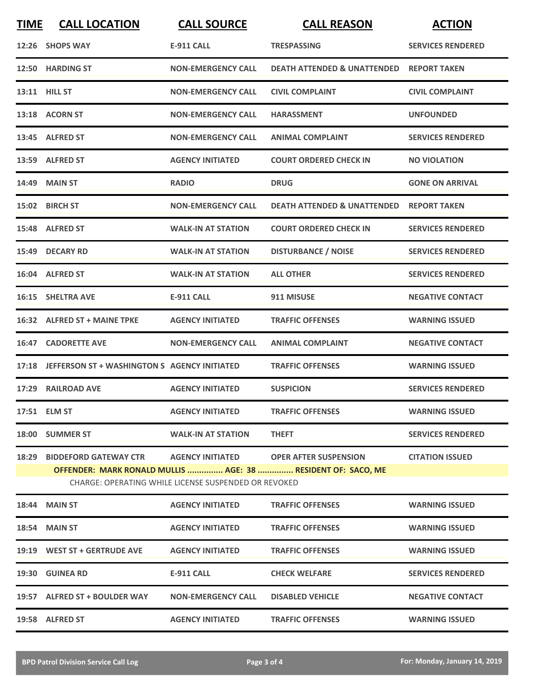| <b>TIME</b> | <b>CALL LOCATION</b>                                                                                                                                                                                                                      | <b>CALL SOURCE</b>        | <b>CALL REASON</b>                     | <b>ACTION</b>            |  |  |
|-------------|-------------------------------------------------------------------------------------------------------------------------------------------------------------------------------------------------------------------------------------------|---------------------------|----------------------------------------|--------------------------|--|--|
|             | 12:26 SHOPS WAY                                                                                                                                                                                                                           | <b>E-911 CALL</b>         | <b>TRESPASSING</b>                     | <b>SERVICES RENDERED</b> |  |  |
|             | 12:50 HARDING ST                                                                                                                                                                                                                          | <b>NON-EMERGENCY CALL</b> | <b>DEATH ATTENDED &amp; UNATTENDED</b> | <b>REPORT TAKEN</b>      |  |  |
|             | 13:11 HILL ST                                                                                                                                                                                                                             | <b>NON-EMERGENCY CALL</b> | <b>CIVIL COMPLAINT</b>                 | <b>CIVIL COMPLAINT</b>   |  |  |
|             | 13:18 ACORN ST                                                                                                                                                                                                                            | <b>NON-EMERGENCY CALL</b> | <b>HARASSMENT</b>                      | <b>UNFOUNDED</b>         |  |  |
|             | 13:45 ALFRED ST                                                                                                                                                                                                                           | <b>NON-EMERGENCY CALL</b> | <b>ANIMAL COMPLAINT</b>                | <b>SERVICES RENDERED</b> |  |  |
|             | 13:59 ALFRED ST                                                                                                                                                                                                                           | <b>AGENCY INITIATED</b>   | <b>COURT ORDERED CHECK IN</b>          | <b>NO VIOLATION</b>      |  |  |
|             | 14:49 MAIN ST                                                                                                                                                                                                                             | <b>RADIO</b>              | <b>DRUG</b>                            | <b>GONE ON ARRIVAL</b>   |  |  |
|             | 15:02 BIRCH ST                                                                                                                                                                                                                            | <b>NON-EMERGENCY CALL</b> | <b>DEATH ATTENDED &amp; UNATTENDED</b> | <b>REPORT TAKEN</b>      |  |  |
|             | 15:48 ALFRED ST                                                                                                                                                                                                                           | <b>WALK-IN AT STATION</b> | <b>COURT ORDERED CHECK IN</b>          | <b>SERVICES RENDERED</b> |  |  |
|             | 15:49 DECARY RD                                                                                                                                                                                                                           | <b>WALK-IN AT STATION</b> | <b>DISTURBANCE / NOISE</b>             | <b>SERVICES RENDERED</b> |  |  |
|             | 16:04 ALFRED ST                                                                                                                                                                                                                           | <b>WALK-IN AT STATION</b> | <b>ALL OTHER</b>                       | <b>SERVICES RENDERED</b> |  |  |
|             | 16:15 SHELTRA AVE                                                                                                                                                                                                                         | <b>E-911 CALL</b>         | 911 MISUSE                             | <b>NEGATIVE CONTACT</b>  |  |  |
|             | 16:32 ALFRED ST + MAINE TPKE                                                                                                                                                                                                              | <b>AGENCY INITIATED</b>   | <b>TRAFFIC OFFENSES</b>                | <b>WARNING ISSUED</b>    |  |  |
| 16:47       | <b>CADORETTE AVE</b>                                                                                                                                                                                                                      | <b>NON-EMERGENCY CALL</b> | <b>ANIMAL COMPLAINT</b>                | <b>NEGATIVE CONTACT</b>  |  |  |
| 17:18       | JEFFERSON ST + WASHINGTON S AGENCY INITIATED                                                                                                                                                                                              |                           | <b>TRAFFIC OFFENSES</b>                | <b>WARNING ISSUED</b>    |  |  |
|             | 17:29 RAILROAD AVE                                                                                                                                                                                                                        | <b>AGENCY INITIATED</b>   | <b>SUSPICION</b>                       | <b>SERVICES RENDERED</b> |  |  |
|             | 17:51 ELM ST                                                                                                                                                                                                                              | <b>AGENCY INITIATED</b>   | <b>TRAFFIC OFFENSES</b>                | <b>WARNING ISSUED</b>    |  |  |
|             | 18:00 SUMMER ST                                                                                                                                                                                                                           | <b>WALK-IN AT STATION</b> | <b>THEFT</b>                           | <b>SERVICES RENDERED</b> |  |  |
| 18:29       | <b>BIDDEFORD GATEWAY CTR</b><br><b>AGENCY INITIATED</b><br><b>OPER AFTER SUSPENSION</b><br><b>CITATION ISSUED</b><br>OFFENDER: MARK RONALD MULLIS  AGE: 38  RESIDENT OF: SACO, ME<br>CHARGE: OPERATING WHILE LICENSE SUSPENDED OR REVOKED |                           |                                        |                          |  |  |
|             | <b>18:44 MAIN ST</b>                                                                                                                                                                                                                      | <b>AGENCY INITIATED</b>   | <b>TRAFFIC OFFENSES</b>                | <b>WARNING ISSUED</b>    |  |  |
|             | 18:54 MAIN ST                                                                                                                                                                                                                             | <b>AGENCY INITIATED</b>   | <b>TRAFFIC OFFENSES</b>                | <b>WARNING ISSUED</b>    |  |  |
|             | 19:19 WEST ST + GERTRUDE AVE                                                                                                                                                                                                              | <b>AGENCY INITIATED</b>   | <b>TRAFFIC OFFENSES</b>                | <b>WARNING ISSUED</b>    |  |  |
|             | 19:30 GUINEA RD                                                                                                                                                                                                                           | <b>E-911 CALL</b>         | <b>CHECK WELFARE</b>                   | <b>SERVICES RENDERED</b> |  |  |
|             | 19:57 ALFRED ST + BOULDER WAY                                                                                                                                                                                                             | <b>NON-EMERGENCY CALL</b> | <b>DISABLED VEHICLE</b>                | <b>NEGATIVE CONTACT</b>  |  |  |
|             | 19:58 ALFRED ST                                                                                                                                                                                                                           | <b>AGENCY INITIATED</b>   | <b>TRAFFIC OFFENSES</b>                | <b>WARNING ISSUED</b>    |  |  |